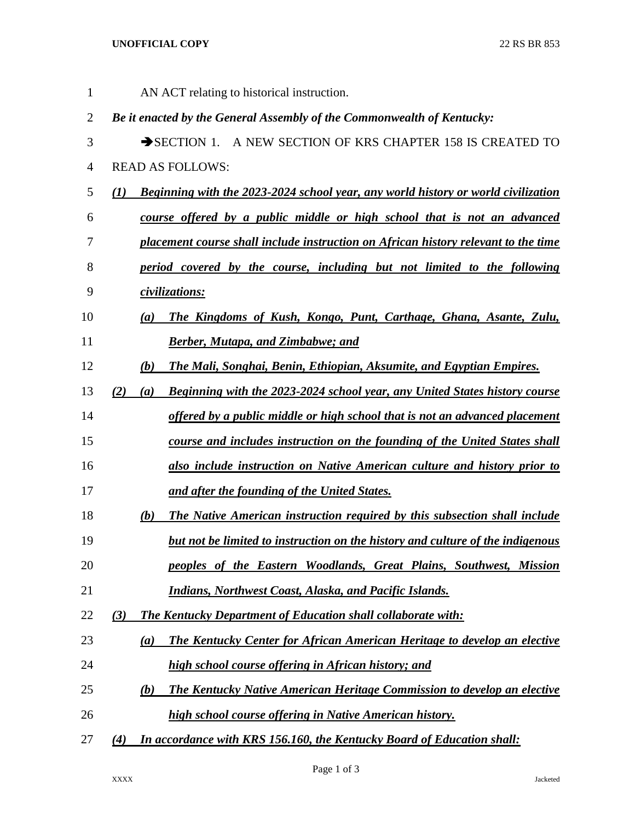## **UNOFFICIAL COPY** 22 RS BR 853

| 1              | AN ACT relating to historical instruction.                                                      |  |
|----------------|-------------------------------------------------------------------------------------------------|--|
| $\overline{2}$ | Be it enacted by the General Assembly of the Commonwealth of Kentucky:                          |  |
| 3              | SECTION 1. A NEW SECTION OF KRS CHAPTER 158 IS CREATED TO                                       |  |
| 4              | <b>READ AS FOLLOWS:</b>                                                                         |  |
| 5              | <b>Beginning with the 2023-2024 school year, any world history or world civilization</b><br>(I) |  |
| 6              | course offered by a public middle or high school that is not an advanced                        |  |
| 7              | placement course shall include instruction on African history relevant to the time              |  |
| 8              | period covered by the course, including but not limited to the following                        |  |
| 9              | civilizations:                                                                                  |  |
| 10             | The Kingdoms of Kush, Kongo, Punt, Carthage, Ghana, Asante, Zulu,<br>$\left(a\right)$           |  |
| 11             | <b>Berber, Mutapa, and Zimbabwe; and</b>                                                        |  |
| 12             | The Mali, Songhai, Benin, Ethiopian, Aksumite, and Egyptian Empires.<br>(b)                     |  |
| 13             | <b>Beginning with the 2023-2024 school year, any United States history course</b><br>(2)<br>(a) |  |
| 14             | <u>offered by a public middle or high school that is not an advanced placement</u>              |  |
| 15             | course and includes instruction on the founding of the United States shall                      |  |
| 16             | also include instruction on Native American culture and history prior to                        |  |
| 17             | and after the founding of the United States.                                                    |  |
| 18             | <b>The Native American instruction required by this subsection shall include</b><br>(b)         |  |
| 19             | but not be limited to instruction on the history and culture of the indigenous                  |  |
| 20             | peoples of the Eastern Woodlands, Great Plains, Southwest, Mission                              |  |
| 21             | Indians, Northwest Coast, Alaska, and Pacific Islands.                                          |  |
| 22             | (3)<br><b>The Kentucky Department of Education shall collaborate with:</b>                      |  |
| 23             | The Kentucky Center for African American Heritage to develop an elective<br>(a)                 |  |
| 24             | high school course offering in African history; and                                             |  |
| 25             | The Kentucky Native American Heritage Commission to develop an elective<br>(b)                  |  |
| 26             | high school course offering in Native American history.                                         |  |
| 27             | In accordance with KRS 156.160, the Kentucky Board of Education shall:<br>(4)                   |  |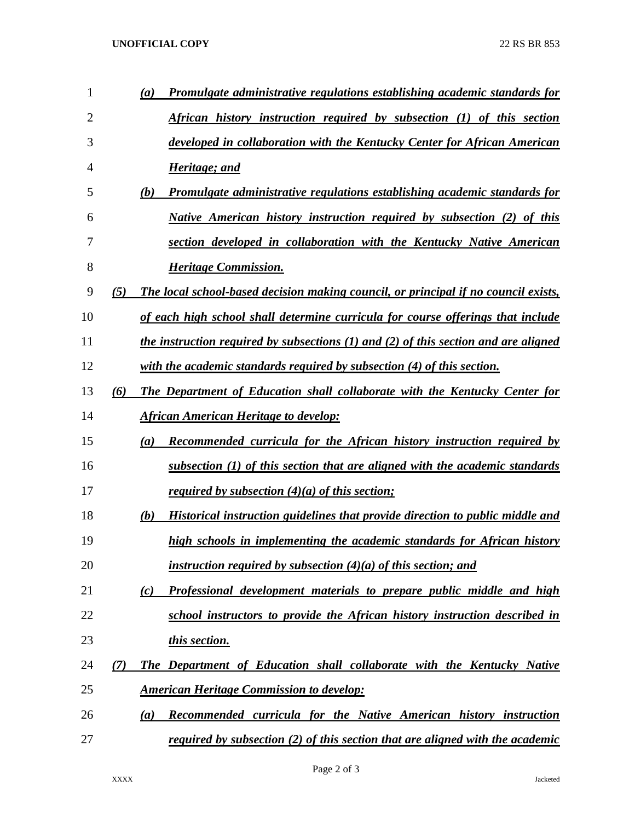## **UNOFFICIAL COPY** 22 RS BR 853

| 1  |     | Promulgate administrative regulations establishing academic standards for<br>(a)                 |
|----|-----|--------------------------------------------------------------------------------------------------|
| 2  |     | African history instruction required by subsection (1) of this section                           |
| 3  |     | developed in collaboration with the Kentucky Center for African American                         |
| 4  |     | Heritage; and                                                                                    |
| 5  |     | (b)<br><b>Promulgate administrative regulations establishing academic standards for</b>          |
| 6  |     | <u>Native American history instruction required by subsection (2) of this</u>                    |
| 7  |     | section developed in collaboration with the Kentucky Native American                             |
| 8  |     | <b>Heritage Commission.</b>                                                                      |
| 9  | (5) | The local school-based decision making council, or principal if no council exists,               |
| 10 |     | of each high school shall determine curricula for course offerings that include                  |
| 11 |     | <u>the instruction required by subsections (1) and (2) of this section and are aligned</u>       |
| 12 |     | with the academic standards required by subsection (4) of this section.                          |
| 13 | (6) | The Department of Education shall collaborate with the Kentucky Center for                       |
| 14 |     | <b>African American Heritage to develop:</b>                                                     |
| 15 |     | <b>Recommended curricula for the African history instruction required by</b><br>$\left(a\right)$ |
| 16 |     | subsection $(1)$ of this section that are aligned with the academic standards                    |
| 17 |     | <u>required by subsection <math>(4)(a)</math> of this section;</u>                               |
| 18 |     | Historical instruction guidelines that provide direction to public middle and<br>(b)             |
| 19 |     | high schools in implementing the academic standards for African history                          |
| 20 |     | instruction required by subsection $(4)(a)$ of this section; and                                 |
| 21 |     | Professional development materials to prepare public middle and high<br>(c)                      |
| 22 |     | school instructors to provide the African history instruction described in                       |
| 23 |     | this section.                                                                                    |
| 24 | (7) | The Department of Education shall collaborate with the Kentucky Native                           |
| 25 |     | <b>American Heritage Commission to develop:</b>                                                  |
| 26 |     | Recommended curricula for the Native American history instruction<br>(a)                         |
| 27 |     | required by subsection $(2)$ of this section that are aligned with the academic                  |